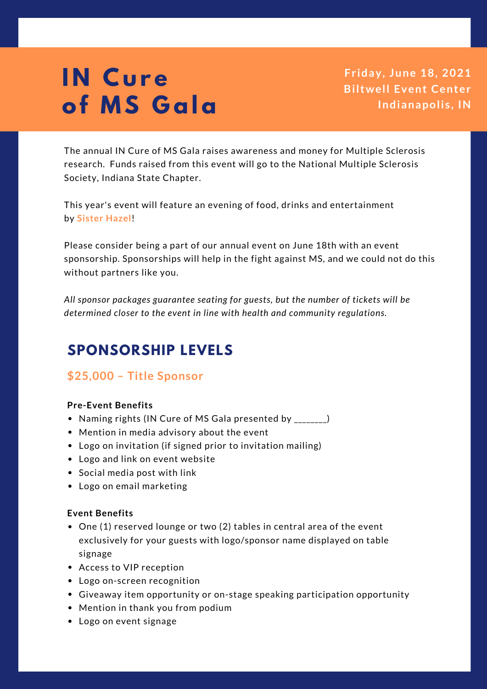**Fr iday, June 18, 2021 Biltwell Event Center Indianapoli s , IN**

The annual IN Cure of MS Gala raises awareness and money for Multiple Sclerosis research. Funds raised from this event will go to the National Multiple Sclerosis Society, Indiana State Chapter.

This year's event will feature an evening of food, drinks and entertainment by **Sister Hazel**!

Please consider being a part of our annual event on June 18th with an event sponsorship. Sponsorships will help in the fight against MS, and we could not do this without partners like you.

*All sponsor packages guarantee seating for guests, but the number of tickets will be determined closer to the event in line with health and community regulations.*

# **SPONSORSHIP LEVELS**

## **\$25,000 – Title Sponsor**

### **Pre-Event Benefits**

- Naming rights (IN Cure of MS Gala presented by \_\_\_\_\_\_\_)
- Mention in media advisory about the event
- Logo on invitation (if signed prior to invitation mailing)
- Logo and link on event website
- Social media post with link
- Logo on email marketing

## **Event Benefits**

- One (1) reserved lounge or two (2) tables in central area of the event exclusively for your guests with logo/sponsor name displayed on table signage
- Access to VIP reception
- Logo on-screen recognition
- Giveaway item opportunity or on-stage speaking participation opportunity
- Mention in thank you from podium
- Logo on event signage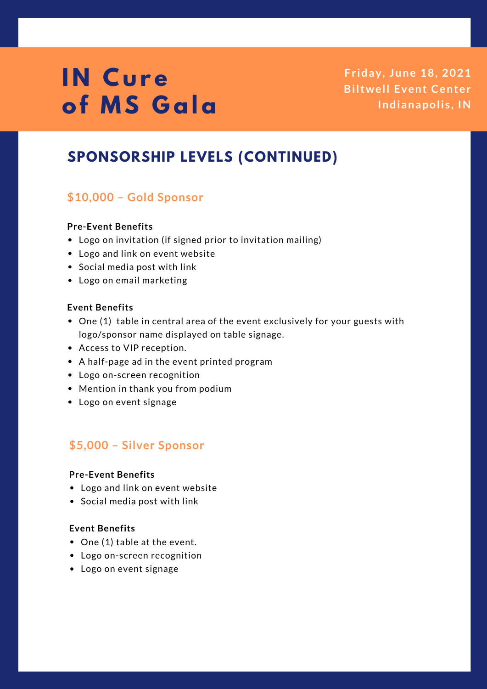**Fr iday, June 18, 2021 Biltwell Event Center Indianapoli s , IN**

# **SPONSORSHIP LEVELS (CONTINUED)**

## **\$10,000 – Gold Sponsor**

### **Pre-Event Benefits**

- Logo on invitation (if signed prior to invitation mailing)
- Logo and link on event website
- Social media post with link
- Logo on email marketing

### **Event Benefits**

- One (1) table in central area of the event exclusively for your guests with logo/sponsor name displayed on table signage.
- Access to VIP reception.
- A half-page ad in the event printed program
- Logo on-screen recognition
- Mention in thank you from podium
- Logo on event signage

## **\$5,000 – Silver Sponsor**

### **Pre-Event Benefits**

- Logo and link on event website
- Social media post with link

### **Event Benefits**

- One (1) table at the event.
- Logo on-screen recognition
- Logo on event signage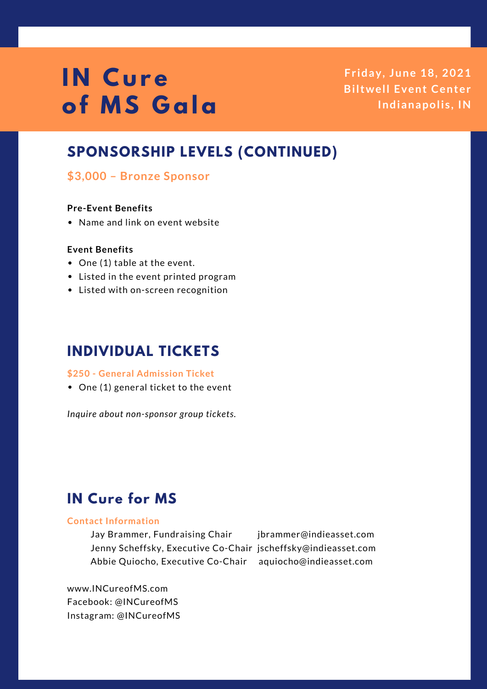**Fr iday, June 18, 2021 Biltwell Event Center Indianapoli s , IN**

## **SPONSORSHIP LEVELS (CONTINUED)**

## **\$3,000 – Bronze Sponsor**

#### **Pre-Event Benefits**

• Name and link on event website

### **Event Benefits**

- One (1) table at the event.
- Listed in the event printed program
- Listed with on-screen recognition

# **INDIVIDUAL TICKETS**

#### **\$250 - General Admission Ticket**

• One (1) general ticket to the event

*Inquire about non-sponsor group tickets.*

# **IN Cure for MS**

#### **Contact Information**

Jay Brammer, Fundraising Chair jbrammer@indieasset.com Jenny Scheffsky, Executive Co-Chair [jscheffsky@indieasset.com](http://www.incureofms.com/) Abbie Quiocho, Executive Co-Chair aquiocho@indieasset.com

www.INCureofMS.com Facebook: @INCureofMS Instagram: @INCureofMS